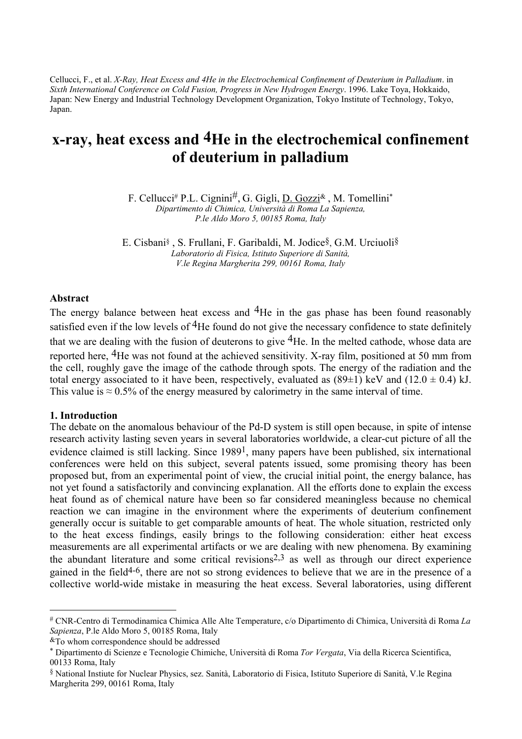Cellucci, F., et al. *X-Ray, Heat Excess and 4He in the Electrochemical Confinement of Deuterium in Palladium*. in *Sixth International Conference on Cold Fusion, Progress in New Hydrogen Energy*. 1996. Lake Toya, Hokkaido, Japan: New Energy and Industrial Technology Development Organization, Tokyo Institute of Technology, Tokyo, Japan.

# **x-ray, heat excess and 4He in the electrochemical confinement of deuterium in palladium**

F. Cellucci[#](#page-0-0) P.L. Cignini#, G. Gigli, D. Gozz[i&](#page-0-1) , M. Tomellin[i\\*](#page-0-2) *Dipartimento di Chimica, Università di Roma La Sapienza, P.le Aldo Moro 5, 00185 Roma, Italy* 

E. Cisban[i§](#page-0-3) , S. Frullani, F. Garibaldi, M. Jodice§, G.M. Urciuoli§ *Laboratorio di Fisica, Istituto Superiore di Sanità, V.le Regina Margherita 299, 00161 Roma, Italy* 

# **Abstract**

The energy balance between heat excess and <sup>4</sup>He in the gas phase has been found reasonably satisfied even if the low levels of  ${}^{4}$ He found do not give the necessary confidence to state definitely that we are dealing with the fusion of deuterons to give 4He. In the melted cathode, whose data are reported here, 4He was not found at the achieved sensitivity. X-ray film, positioned at 50 mm from the cell, roughly gave the image of the cathode through spots. The energy of the radiation and the total energy associated to it have been, respectively, evaluated as  $(89\pm1)$  keV and  $(12.0 \pm 0.4)$  kJ. This value is  $\approx 0.5\%$  of the energy measured by calorimetry in the same interval of time.

# **1. Introduction**

 $\overline{a}$ 

The debate on the anomalous behaviour of the Pd-D system is still open because, in spite of intense research activity lasting seven years in several laboratories worldwide, a clear-cut picture of all the evidence claimed is still lacking. Since 19891, many papers have been published, six international conferences were held on this subject, several patents issued, some promising theory has been proposed but, from an experimental point of view, the crucial initial point, the energy balance, has not yet found a satisfactorily and convincing explanation. All the efforts done to explain the excess heat found as of chemical nature have been so far considered meaningless because no chemical reaction we can imagine in the environment where the experiments of deuterium confinement generally occur is suitable to get comparable amounts of heat. The whole situation, restricted only to the heat excess findings, easily brings to the following consideration: either heat excess measurements are all experimental artifacts or we are dealing with new phenomena. By examining the abundant literature and some critical revisions<sup>2,3</sup> as well as through our direct experience gained in the field4-6, there are not so strong evidences to believe that we are in the presence of a collective world-wide mistake in measuring the heat excess. Several laboratories, using different

<span id="page-0-0"></span><sup>#</sup> CNR-Centro di Termodinamica Chimica Alle Alte Temperature, c/o Dipartimento di Chimica, Università di Roma *La Sapienza*, P.le Aldo Moro 5, 00185 Roma, Italy

<span id="page-0-1"></span> $\&$ To whom correspondence should be addressed

<span id="page-0-2"></span><sup>\*</sup> Dipartimento di Scienze e Tecnologie Chimiche, Università di Roma *Tor Vergata*, Via della Ricerca Scientifica, 00133 Roma, Italy

<span id="page-0-3"></span><sup>§</sup> National Instiute for Nuclear Physics, sez. Sanità, Laboratorio di Fisica, Istituto Superiore di Sanità, V.le Regina Margherita 299, 00161 Roma, Italy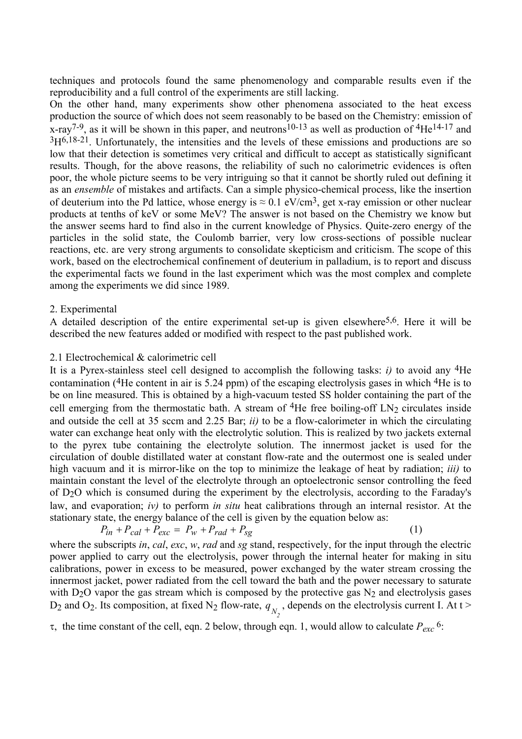techniques and protocols found the same phenomenology and comparable results even if the reproducibility and a full control of the experiments are still lacking.

On the other hand, many experiments show other phenomena associated to the heat excess production the source of which does not seem reasonably to be based on the Chemistry: emission of  $x$ -ray<sup>7-9</sup>, as it will be shown in this paper, and neutrons<sup>10-13</sup> as well as production of <sup>4</sup>He<sup>14-17</sup> and 3H6,18-21. Unfortunately, the intensities and the levels of these emissions and productions are so low that their detection is sometimes very critical and difficult to accept as statistically significant results. Though, for the above reasons, the reliability of such no calorimetric evidences is often poor, the whole picture seems to be very intriguing so that it cannot be shortly ruled out defining it as an *ensemble* of mistakes and artifacts. Can a simple physico-chemical process, like the insertion of deuterium into the Pd lattice, whose energy is  $\approx 0.1 \text{ eV/cm}^3$ , get x-ray emission or other nuclear products at tenths of keV or some MeV? The answer is not based on the Chemistry we know but the answer seems hard to find also in the current knowledge of Physics. Quite-zero energy of the particles in the solid state, the Coulomb barrier, very low cross-sections of possible nuclear reactions, etc. are very strong arguments to consolidate skepticism and criticism. The scope of this work, based on the electrochemical confinement of deuterium in palladium, is to report and discuss the experimental facts we found in the last experiment which was the most complex and complete among the experiments we did since 1989.

# 2. Experimental

A detailed description of the entire experimental set-up is given elsewhere5,6. Here it will be described the new features added or modified with respect to the past published work.

#### 2.1 Electrochemical & calorimetric cell

It is a Pyrex-stainless steel cell designed to accomplish the following tasks: *i)* to avoid any 4He contamination (4He content in air is 5.24 ppm) of the escaping electrolysis gases in which 4He is to be on line measured. This is obtained by a high-vacuum tested SS holder containing the part of the cell emerging from the thermostatic bath. A stream of  ${}^{4}$ He free boiling-off LN<sub>2</sub> circulates inside and outside the cell at 35 sccm and 2.25 Bar; *ii)* to be a flow-calorimeter in which the circulating water can exchange heat only with the electrolytic solution. This is realized by two jackets external to the pyrex tube containing the electrolyte solution. The innermost jacket is used for the circulation of double distillated water at constant flow-rate and the outermost one is sealed under high vacuum and it is mirror-like on the top to minimize the leakage of heat by radiation; *iii)* to maintain constant the level of the electrolyte through an optoelectronic sensor controlling the feed of D2O which is consumed during the experiment by the electrolysis, according to the Faraday's law, and evaporation; *iv)* to perform *in situ* heat calibrations through an internal resistor. At the stationary state, the energy balance of the cell is given by the equation below as:

$$
P_{in} + P_{cal} + P_{exc} = P_w + P_{rad} + P_{sg}
$$
\n<sup>(1)</sup>

where the subscripts *in*, *cal*, *exc*, *w*, *rad* and *sg* stand, respectively, for the input through the electric power applied to carry out the electrolysis, power through the internal heater for making in situ calibrations, power in excess to be measured, power exchanged by the water stream crossing the innermost jacket, power radiated from the cell toward the bath and the power necessary to saturate with  $D_2O$  vapor the gas stream which is composed by the protective gas  $N_2$  and electrolysis gases  $D_2$  and  $O_2$ . Its composition, at fixed  $N_2$  flow-rate,  $q_{N_2}$ , depends on the electrolysis current I. At t >

 $\tau$ , the time constant of the cell, eqn. 2 below, through eqn. 1, would allow to calculate  $P_{exc}$ <sup>6</sup>: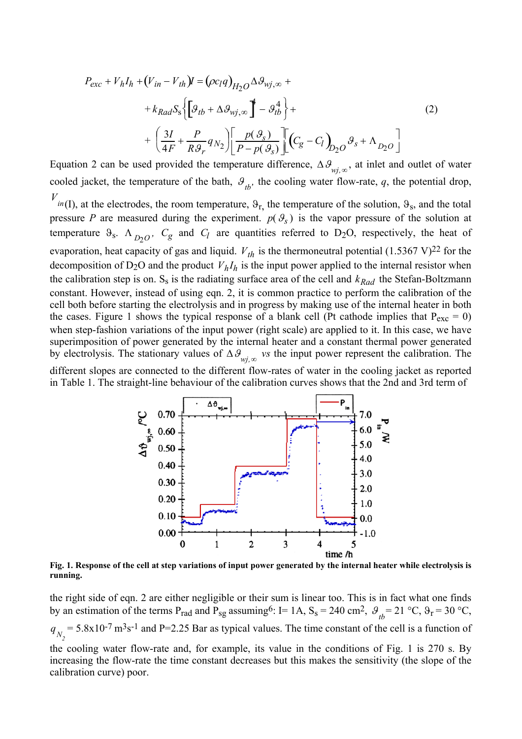$$
P_{exc} + V_h I_h + (V_{in} - V_{th})I = (\rho c_I q)_{H_2O} \Delta \mathcal{S}_{wj,\infty} +
$$
  
+  $k_{Rad} S_s \Biggl\{ \Biggl[ \mathcal{G}_{tb} + \Delta \mathcal{G}_{wj,\infty} \Biggr]^{4} - \mathcal{G}_{tb}^{4} \Biggr\} +$   
+  $\Biggl( \frac{3I}{4F} + \frac{P}{R \mathcal{G}_r} q_{N_2} \Biggr) \Biggl[ \frac{p(\mathcal{G}_s)}{P - p(\mathcal{G}_s)} \Biggr] \Biggl[ (C_g - C_l)_{D_2O} \mathcal{G}_s + \Lambda_{D_2O} \Biggr]$  (2)

Equation 2 can be used provided the temperature difference,  $\Delta \theta_{wj,\infty}$ , at inlet and outlet of water cooled jacket, the temperature of the bath,  $\mathcal{G}_{th}$ , the cooling water flow-rate, q, the potential drop,

 $V_{in(I)}$ , at the electrodes, the room temperature,  $\vartheta_{r}$ , the temperature of the solution,  $\vartheta_{s}$ , and the total pressure P are measured during the experiment.  $p(\theta_s)$  is the vapor pressure of the solution at temperature  $\theta_s$ .  $\Lambda_{D_2O}$ ,  $C_g$  and  $C_l$  are quantities referred to D<sub>2</sub>O, respectively, the heat of evaporation, heat capacity of gas and liquid.  $V_{th}$  is the thermoneutral potential  $(1.5367 \text{ V})^{22}$  for the decomposition of  $D_2O$  and the product  $V_hI_h$  is the input power applied to the internal resistor when the calibration step is on.  $S_s$  is the radiating surface area of the cell and  $k_{Rad}$  the Stefan-Boltzmann constant. However, instead of using eqn. 2, it is common practice to perform the calibration of the cell both before starting the electrolysis and in progress by making use of the internal heater in both the cases. Figure 1 shows the typical response of a blank cell (Pt cathode implies that  $P_{exc} = 0$ ) when step-fashion variations of the input power (right scale) are applied to it. In this case, we have superimposition of power generated by the internal heater and a constant thermal power generated by electrolysis. The stationary values of ∆ϑ *wj,*<sup>∞</sup> *vs* the input power represent the calibration. The different slopes are connected to the different flow-rates of water in the cooling jacket as reported

in Table 1. The straight-line behaviour of the calibration curves shows that the 2nd and 3rd term of



**Fig. 1. Response of the cell at step variations of input power generated by the internal heater while electrolysis is running.** 

the right side of eqn. 2 are either negligible or their sum is linear too. This is in fact what one finds by an estimation of the terms P<sub>rad</sub> and P<sub>sg</sub> assuming<sup>6</sup>: I= 1A, S<sub>s</sub> = 240 cm<sup>2</sup>,  $\theta_{tb}$ = 21 °C,  $\theta_{r}$  = 30 °C,  $q_{N_2}$  = 5.8x10<sup>-7</sup> m<sup>3</sup>s<sup>-1</sup> and P=2.25 Bar as typical values. The time constant of the cell is a function of the cooling water flow-rate and, for example, its value in the conditions of Fig. 1 is 270 s. By increasing the flow-rate the time constant decreases but this makes the sensitivity (the slope of the

calibration curve) poor.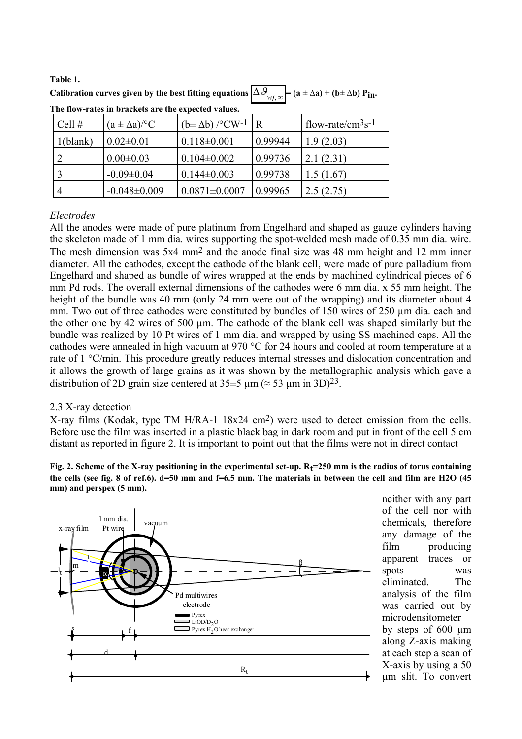**Table 1.** Calibration curves given by the best fitting equations  $\Delta \mathcal{G}_{wi\infty}$  $P(A \pm \Delta a) + (b \pm \Delta b) P$ **in.** 

| Cell $#$ | $(a \pm \Delta a)^{\circ}C$ | $(b \pm \Delta b)$ /°CW <sup>-1</sup> | R       | $1$ flow-rate/cm <sup>3</sup> s <sup>-1</sup> |
|----------|-----------------------------|---------------------------------------|---------|-----------------------------------------------|
| 1(blank) | $0.02 \pm 0.01$             | $0.118 \pm 0.001$                     | 0.99944 | 1.9(2.03)                                     |
|          | $0.00 \pm 0.03$             | $0.104 \pm 0.002$                     | 0.99736 | 2.1(2.31)                                     |
|          | $-0.09 \pm 0.04$            | $0.144 \pm 0.003$                     | 0.99738 | 1.5(1.67)                                     |
|          | $-0.048 \pm 0.009$          | $0.0871 \pm 0.0007$                   | 0.99965 | 2.5(2.75)                                     |

**The flow-rates in brackets are the expected values.** 

# *Electrodes*

All the anodes were made of pure platinum from Engelhard and shaped as gauze cylinders having the skeleton made of 1 mm dia. wires supporting the spot-welded mesh made of 0.35 mm dia. wire. The mesh dimension was 5x4 mm2 and the anode final size was 48 mm height and 12 mm inner diameter. All the cathodes, except the cathode of the blank cell, were made of pure palladium from Engelhard and shaped as bundle of wires wrapped at the ends by machined cylindrical pieces of 6 mm Pd rods. The overall external dimensions of the cathodes were 6 mm dia. x 55 mm height. The height of the bundle was 40 mm (only 24 mm were out of the wrapping) and its diameter about 4 mm. Two out of three cathodes were constituted by bundles of 150 wires of 250  $\mu$ m dia. each and the other one by 42 wires of 500 µm. The cathode of the blank cell was shaped similarly but the bundle was realized by 10 Pt wires of 1 mm dia. and wrapped by using SS machined caps. All the cathodes were annealed in high vacuum at 970 °C for 24 hours and cooled at room temperature at a rate of 1 °C/min. This procedure greatly reduces internal stresses and dislocation concentration and it allows the growth of large grains as it was shown by the metallographic analysis which gave a distribution of 2D grain size centered at  $35\pm5$  µm ( $\approx 53$  µm in 3D)<sup>23</sup>.

# 2.3 X-ray detection

X-ray films (Kodak, type TM H/RA-1 18x24 cm2) were used to detect emission from the cells. Before use the film was inserted in a plastic black bag in dark room and put in front of the cell 5 cm distant as reported in figure 2. It is important to point out that the films were not in direct contact

# Fig. 2. Scheme of the X-ray positioning in the experimental set-up. R<sub>t</sub>=250 mm is the radius of torus containing **the cells (see fig. 8 of ref.6). d=50 mm and f=6.5 mm. The materials in between the cell and film are H2O (45 mm) and perspex (5 mm).**



neither with any part of the cell nor with chemicals, therefore any damage of the film producing apparent traces or spots was eliminated. The analysis of the film was carried out by microdensitometer by steps of 600 µm along Z-axis making at each step a scan of X-axis by using a 50 µm slit. To convert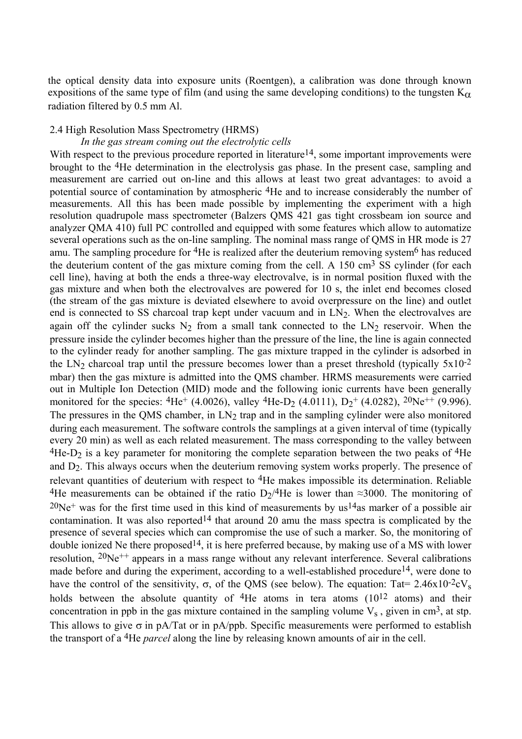the optical density data into exposure units (Roentgen), a calibration was done through known expositions of the same type of film (and using the same developing conditions) to the tungsten  $K_{\alpha}$ radiation filtered by 0.5 mm Al.

# 2.4 High Resolution Mass Spectrometry (HRMS)

# *In the gas stream coming out the electrolytic cells*

With respect to the previous procedure reported in literature<sup>14</sup>, some important improvements were brought to the 4He determination in the electrolysis gas phase. In the present case, sampling and measurement are carried out on-line and this allows at least two great advantages: to avoid a potential source of contamination by atmospheric 4He and to increase considerably the number of measurements. All this has been made possible by implementing the experiment with a high resolution quadrupole mass spectrometer (Balzers QMS 421 gas tight crossbeam ion source and analyzer QMA 410) full PC controlled and equipped with some features which allow to automatize several operations such as the on-line sampling. The nominal mass range of QMS in HR mode is 27 amu. The sampling procedure for <sup>4</sup>He is realized after the deuterium removing system<sup>6</sup> has reduced the deuterium content of the gas mixture coming from the cell. A  $150 \text{ cm}^3$  SS cylinder (for each cell line), having at both the ends a three-way electrovalve, is in normal position fluxed with the gas mixture and when both the electrovalves are powered for 10 s, the inlet end becomes closed (the stream of the gas mixture is deviated elsewhere to avoid overpressure on the line) and outlet end is connected to SS charcoal trap kept under vacuum and in  $LN<sub>2</sub>$ . When the electrovalves are again off the cylinder sucks  $N_2$  from a small tank connected to the  $LN_2$  reservoir. When the pressure inside the cylinder becomes higher than the pressure of the line, the line is again connected to the cylinder ready for another sampling. The gas mixture trapped in the cylinder is adsorbed in the LN<sub>2</sub> charcoal trap until the pressure becomes lower than a preset threshold (typically  $5x10^{-2}$ ) mbar) then the gas mixture is admitted into the QMS chamber. HRMS measurements were carried out in Multiple Ion Detection (MID) mode and the following ionic currents have been generally monitored for the species:  ${}^{4}$ He<sup>+</sup> (4.0026), valley  ${}^{4}$ He-D<sub>2</sub> (4.0111), D<sub>2</sub><sup>+</sup> (4.0282), <sup>20</sup>Ne<sup>++</sup> (9.996). The pressures in the QMS chamber, in  $LN<sub>2</sub>$  trap and in the sampling cylinder were also monitored during each measurement. The software controls the samplings at a given interval of time (typically every 20 min) as well as each related measurement. The mass corresponding to the valley between  $4$ He-D<sub>2</sub> is a key parameter for monitoring the complete separation between the two peaks of  $4$ He and D<sub>2</sub>. This always occurs when the deuterium removing system works properly. The presence of relevant quantities of deuterium with respect to 4He makes impossible its determination. Reliable <sup>4</sup>He measurements can be obtained if the ratio D<sub>2</sub>/<sup>4</sup>He is lower than ≈3000. The monitoring of  $20Ne<sup>+</sup>$  was for the first time used in this kind of measurements by us<sup>14</sup>as marker of a possible air contamination. It was also reported<sup>14</sup> that around 20 amu the mass spectra is complicated by the presence of several species which can compromise the use of such a marker. So, the monitoring of double ionized Ne there proposed<sup>14</sup>, it is here preferred because, by making use of a MS with lower resolution,  $20Ne^{++}$  appears in a mass range without any relevant interference. Several calibrations made before and during the experiment, according to a well-established procedure<sup>14</sup>, were done to have the control of the sensitivity, σ, of the QMS (see below). The equation: Tat= 2.46x10<sup>-2</sup>cV<sub>s</sub> holds between the absolute quantity of  $4$ He atoms in tera atoms (10<sup>12</sup> atoms) and their concentration in ppb in the gas mixture contained in the sampling volume  $V_s$ , given in cm<sup>3</sup>, at stp. This allows to give  $\sigma$  in pA/Tat or in pA/ppb. Specific measurements were performed to establish the transport of a 4He *parcel* along the line by releasing known amounts of air in the cell.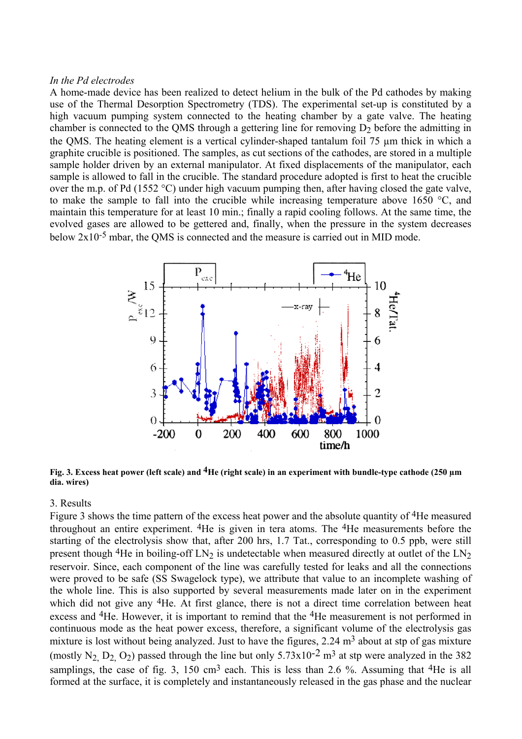# *In the Pd electrodes*

A home-made device has been realized to detect helium in the bulk of the Pd cathodes by making use of the Thermal Desorption Spectrometry (TDS). The experimental set-up is constituted by a high vacuum pumping system connected to the heating chamber by a gate valve. The heating chamber is connected to the QMS through a gettering line for removing  $D_2$  before the admitting in the QMS. The heating element is a vertical cylinder-shaped tantalum foil 75 µm thick in which a graphite crucible is positioned. The samples, as cut sections of the cathodes, are stored in a multiple sample holder driven by an external manipulator. At fixed displacements of the manipulator, each sample is allowed to fall in the crucible. The standard procedure adopted is first to heat the crucible over the m.p. of Pd (1552 °C) under high vacuum pumping then, after having closed the gate valve, to make the sample to fall into the crucible while increasing temperature above 1650 °C, and maintain this temperature for at least 10 min.; finally a rapid cooling follows. At the same time, the evolved gases are allowed to be gettered and, finally, when the pressure in the system decreases below 2x10-5 mbar, the QMS is connected and the measure is carried out in MID mode.



**Fig. 3. Excess heat power (left scale) and 4He (right scale) in an experiment with bundle-type cathode (250 µm dia. wires)**

# 3. Results

Figure 3 shows the time pattern of the excess heat power and the absolute quantity of <sup>4</sup>He measured throughout an entire experiment. 4He is given in tera atoms. The 4He measurements before the starting of the electrolysis show that, after 200 hrs, 1.7 Tat., corresponding to 0.5 ppb, were still present though <sup>4</sup>He in boiling-off  $LN_2$  is undetectable when measured directly at outlet of the  $LN_2$ reservoir. Since, each component of the line was carefully tested for leaks and all the connections were proved to be safe (SS Swagelock type), we attribute that value to an incomplete washing of the whole line. This is also supported by several measurements made later on in the experiment which did not give any <sup>4</sup>He. At first glance, there is not a direct time correlation between heat excess and 4He. However, it is important to remind that the 4He measurement is not performed in continuous mode as the heat power excess, therefore, a significant volume of the electrolysis gas mixture is lost without being analyzed. Just to have the figures,  $2.24 \text{ m}^3$  about at stp of gas mixture (mostly N<sub>2</sub>, D<sub>2</sub>, O<sub>2</sub>) passed through the line but only  $5.73 \times 10^{-2}$  m<sup>3</sup> at stp were analyzed in the 382 samplings, the case of fig. 3, 150 cm<sup>3</sup> each. This is less than 2.6 %. Assuming that <sup>4</sup>He is all formed at the surface, it is completely and instantaneously released in the gas phase and the nuclear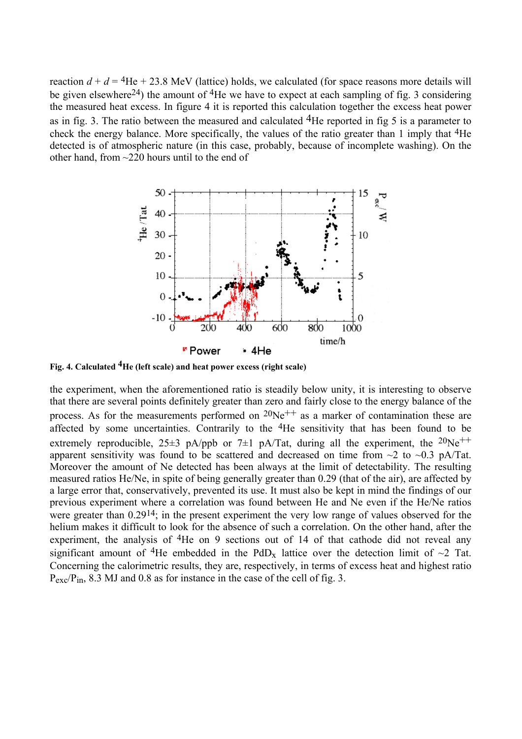reaction  $d + d = 4$ He + 23.8 MeV (lattice) holds, we calculated (for space reasons more details will be given elsewhere<sup>24</sup>) the amount of <sup>4</sup>He we have to expect at each sampling of fig. 3 considering the measured heat excess. In figure 4 it is reported this calculation together the excess heat power as in fig. 3. The ratio between the measured and calculated  $4$ He reported in fig 5 is a parameter to check the energy balance. More specifically, the values of the ratio greater than 1 imply that 4He detected is of atmospheric nature (in this case, probably, because of incomplete washing). On the other hand, from ~220 hours until to the end of



**Fig. 4. Calculated 4He (left scale) and heat power excess (right scale)**

the experiment, when the aforementioned ratio is steadily below unity, it is interesting to observe that there are several points definitely greater than zero and fairly close to the energy balance of the process. As for the measurements performed on  $20Ne^{++}$  as a marker of contamination these are affected by some uncertainties. Contrarily to the 4He sensitivity that has been found to be extremely reproducible,  $25\pm3$  pA/ppb or 7 $\pm1$  pA/Tat, during all the experiment, the  $20Ne^{++}$ apparent sensitivity was found to be scattered and decreased on time from  $\sim$ 2 to  $\sim$ 0.3 pA/Tat. Moreover the amount of Ne detected has been always at the limit of detectability. The resulting measured ratios He/Ne, in spite of being generally greater than 0.29 (that of the air), are affected by a large error that, conservatively, prevented its use. It must also be kept in mind the findings of our previous experiment where a correlation was found between He and Ne even if the He/Ne ratios were greater than  $0.29^{14}$ ; in the present experiment the very low range of values observed for the helium makes it difficult to look for the absence of such a correlation. On the other hand, after the experiment, the analysis of <sup>4</sup>He on 9 sections out of 14 of that cathode did not reveal any significant amount of <sup>4</sup>He embedded in the PdD<sub>x</sub> lattice over the detection limit of  $\sim$ 2 Tat. Concerning the calorimetric results, they are, respectively, in terms of excess heat and highest ratio P<sub>exc</sub>/P<sub>in</sub>, 8.3 MJ and 0.8 as for instance in the case of the cell of fig. 3.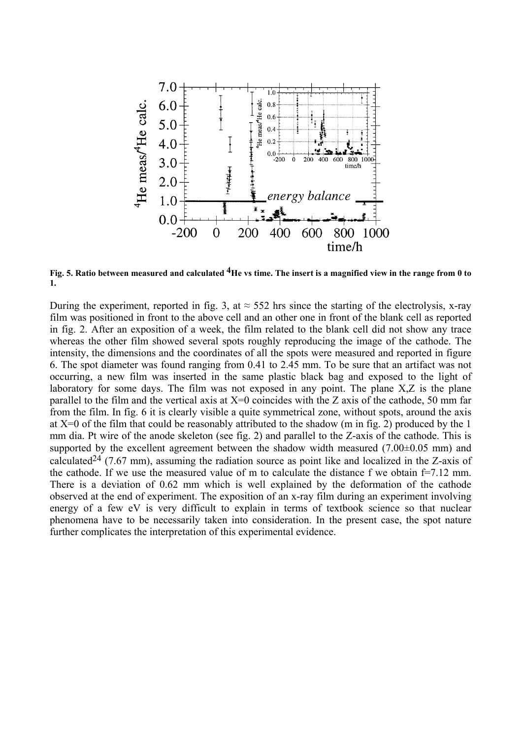

**Fig. 5. Ratio between measured and calculated 4He vs time. The insert is a magnified view in the range from 0 to 1.** 

During the experiment, reported in fig. 3, at  $\approx$  552 hrs since the starting of the electrolysis, x-ray film was positioned in front to the above cell and an other one in front of the blank cell as reported in fig. 2. After an exposition of a week, the film related to the blank cell did not show any trace whereas the other film showed several spots roughly reproducing the image of the cathode. The intensity, the dimensions and the coordinates of all the spots were measured and reported in figure 6. The spot diameter was found ranging from 0.41 to 2.45 mm. To be sure that an artifact was not occurring, a new film was inserted in the same plastic black bag and exposed to the light of laboratory for some days. The film was not exposed in any point. The plane X,Z is the plane parallel to the film and the vertical axis at  $X=0$  coincides with the Z axis of the cathode, 50 mm far from the film. In fig. 6 it is clearly visible a quite symmetrical zone, without spots, around the axis at X=0 of the film that could be reasonably attributed to the shadow (m in fig. 2) produced by the 1 mm dia. Pt wire of the anode skeleton (see fig. 2) and parallel to the Z-axis of the cathode. This is supported by the excellent agreement between the shadow width measured (7.00 $\pm$ 0.05 mm) and calculated<sup>24</sup> (7.67 mm), assuming the radiation source as point like and localized in the Z-axis of the cathode. If we use the measured value of m to calculate the distance f we obtain  $f=7.12$  mm. There is a deviation of 0.62 mm which is well explained by the deformation of the cathode observed at the end of experiment. The exposition of an x-ray film during an experiment involving energy of a few eV is very difficult to explain in terms of textbook science so that nuclear phenomena have to be necessarily taken into consideration. In the present case, the spot nature further complicates the interpretation of this experimental evidence.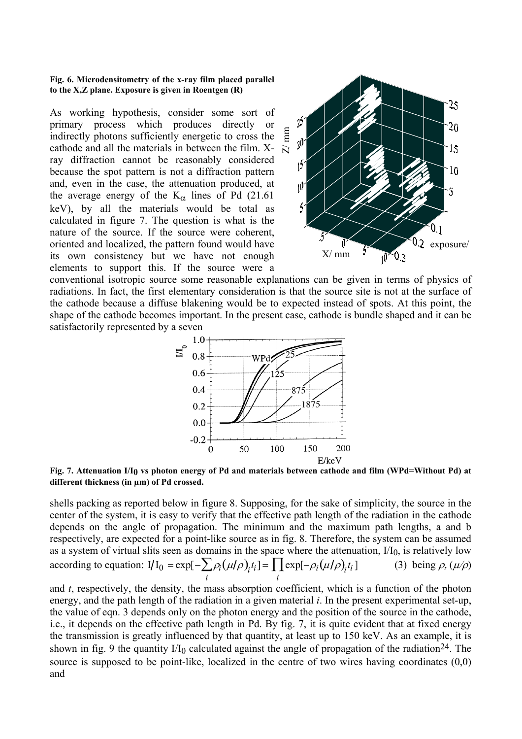#### **Fig. 6. Microdensitometry of the x-ray film placed parallel to the X,Z plane. Exposure is given in Roentgen (R)**

As working hypothesis, consider some sort of primary process which produces directly or indirectly photons sufficiently energetic to cross the cathode and all the materials in between the film. Xray diffraction cannot be reasonably considered because the spot pattern is not a diffraction pattern and, even in the case, the attenuation produced, at the average energy of the  $K_{\alpha}$  lines of Pd (21.61) keV), by all the materials would be total as calculated in figure 7. The question is what is the nature of the source. If the source were coherent, oriented and localized, the pattern found would have its own consistency but we have not enough elements to support this. If the source were a



conventional isotropic source some reasonable explanations can be given in terms of physics of radiations. In fact, the first elementary consideration is that the source site is not at the surface of the cathode because a diffuse blakening would be to expected instead of spots. At this point, the shape of the cathode becomes important. In the present case, cathode is bundle shaped and it can be satisfactorily represented by a seven



**Fig. 7. Attenuation I/I0 vs photon energy of Pd and materials between cathode and film (WPd=Without Pd) at different thickness (in µm) of Pd crossed.** 

shells packing as reported below in figure 8. Supposing, for the sake of simplicity, the source in the center of the system, it is easy to verify that the effective path length of the radiation in the cathode depends on the angle of propagation. The minimum and the maximum path lengths, a and b respectively, are expected for a point-like source as in fig. 8. Therefore, the system can be assumed as a system of virtual slits seen as domains in the space where the attenuation,  $I/I_0$ , is relatively low according to equation:  $I/I_0 = \exp[-\sum \rho_i]$ *i*  $\sum \rho_i (\mu/\rho)_{i} t_i$ ] =  $\prod$ exp *i*  $\prod \exp[-\rho_i(\mu/\rho)_i t_i]$  (3) being  $\rho$ ,  $(\mu/\rho)$ 

and *t*, respectively, the density, the mass absorption coefficient, which is a function of the photon energy, and the path length of the radiation in a given material *i*. In the present experimental set-up, the value of eqn. 3 depends only on the photon energy and the position of the source in the cathode, i.e., it depends on the effective path length in Pd. By fig. 7, it is quite evident that at fixed energy the transmission is greatly influenced by that quantity, at least up to 150 keV. As an example, it is shown in fig. 9 the quantity  $1/I_0$  calculated against the angle of propagation of the radiation<sup>24</sup>. The source is supposed to be point-like, localized in the centre of two wires having coordinates (0,0) and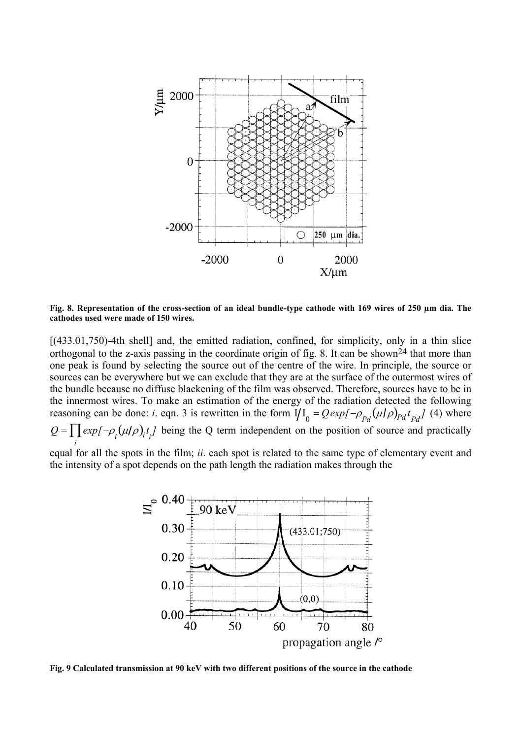

**Fig. 8. Representation of the cross-section of an ideal bundle-type cathode with 169 wires of 250 µm dia. The cathodes used were made of 150 wires.**

[(433.01,750)-4th shell] and, the emitted radiation, confined, for simplicity, only in a thin slice orthogonal to the z-axis passing in the coordinate origin of fig. 8. It can be shown<sup>24</sup> that more than one peak is found by selecting the source out of the centre of the wire. In principle, the source or sources can be everywhere but we can exclude that they are at the surface of the outermost wires of the bundle because no diffuse blackening of the film was observed. Therefore, sources have to be in the innermost wires. To make an estimation of the energy of the radiation detected the following reasoning can be done: *i*. eqn. 3 is rewritten in the form  $\hat{I/I}_0 = Q \exp[-\rho_{pd}(\mu/\rho)_{pd} t_{pd}]$  (4) where *Q* = *exp*  $\prod_i exp[-\rho_i(u/\rho)_i t_i]$  being the Q term independent on the position of source and practically

equal for all the spots in the film; *ii*. each spot is related to the same type of elementary event and the intensity of a spot depends on the path length the radiation makes through the



**Fig. 9 Calculated transmission at 90 keV with two different positions of the source in the cathode**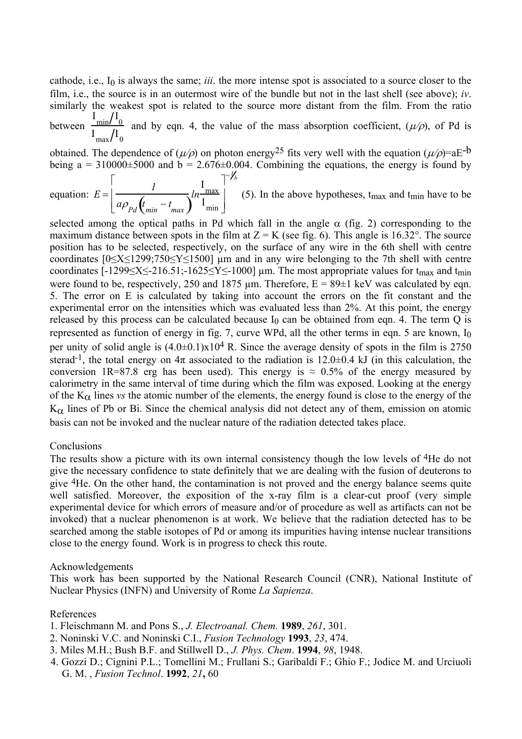cathode, i.e., I0 is always the same; *iii*. the more intense spot is associated to a source closer to the film, i.e., the source is in an outermost wire of the bundle but not in the last shell (see above); *iv*. similarly the weakest spot is related to the source more distant from the film. From the ratio between  $I_{\text{min}}/I_0$  $I_{\text{max}}/I_0$ and by eqn. 4, the value of the mass absorption coefficient,  $(\mu/\rho)$ , of Pd is

obtained. The dependence of  $(\mu/\rho)$  on photon energy<sup>25</sup> fits very well with the equation  $(\mu/\rho)$ =aE<sup>-b</sup> being  $a = 310000\pm5000$  and  $b = 2.676\pm0.004$ . Combining the equations, the energy is found by

equation:  $E = \frac{I}{\omega \rho_{p,l}(t)}$  $\frac{1}{Pd} \left( t_{min} - t_{max} \right)$ *ln* I max I min  $\vert$  $\Bigl[ \, . \,$  $\overline{1}$  $\overline{\phantom{a}}$ −*1 b* (5). In the above hypotheses,  $t_{max}$  and  $t_{min}$  have to be

selected among the optical paths in Pd which fall in the angle  $\alpha$  (fig. 2) corresponding to the maximum distance between spots in the film at  $Z = K$  (see fig. 6). This angle is 16.32°. The source position has to be selected, respectively, on the surface of any wire in the 6th shell with centre coordinates [0≤X≤1299;750≤Y≤1500] µm and in any wire belonging to the 7th shell with centre coordinates  $[-1299 \le X \le -216.51; -1625 \le Y \le -1000]$  µm. The most appropriate values for t<sub>max</sub> and t<sub>min</sub> were found to be, respectively, 250 and 1875  $\mu$ m. Therefore, E = 89 $\pm$ 1 keV was calculated by eqn. 5. The error on E is calculated by taking into account the errors on the fit constant and the experimental error on the intensities which was evaluated less than 2%. At this point, the energy released by this process can be calculated because  $I_0$  can be obtained from eqn. 4. The term Q is represented as function of energy in fig. 7, curve WPd, all the other terms in eqn. 5 are known,  $I_0$ per unity of solid angle is  $(4.0\pm0.1)x10^4$  R. Since the average density of spots in the film is 2750 sterad<sup>-1</sup>, the total energy on  $4\pi$  associated to the radiation is 12.0 $\pm$ 0.4 kJ (in this calculation, the conversion 1R=87.8 erg has been used). This energy is  $\approx 0.5\%$  of the energy measured by calorimetry in the same interval of time during which the film was exposed. Looking at the energy of the  $K_{\alpha}$  lines *vs* the atomic number of the elements, the energy found is close to the energy of the  $K_{\alpha}$  lines of Pb or Bi. Since the chemical analysis did not detect any of them, emission on atomic basis can not be invoked and the nuclear nature of the radiation detected takes place.

#### Conclusions

The results show a picture with its own internal consistency though the low levels of <sup>4</sup>He do not give the necessary confidence to state definitely that we are dealing with the fusion of deuterons to give 4He. On the other hand, the contamination is not proved and the energy balance seems quite well satisfied. Moreover, the exposition of the x-ray film is a clear-cut proof (very simple experimental device for which errors of measure and/or of procedure as well as artifacts can not be invoked) that a nuclear phenomenon is at work. We believe that the radiation detected has to be searched among the stable isotopes of Pd or among its impurities having intense nuclear transitions close to the energy found. Work is in progress to check this route.

#### Acknowledgements

This work has been supported by the National Research Council (CNR), National Institute of Nuclear Physics (INFN) and University of Rome *La Sapienza*.

#### References

- 1. Fleischmann M. and Pons S., *J. Electroanal. Chem.* **1989**, *261*, 301.
- 2. Noninski V.C. and Noninski C.I., *Fusion Technology* **1993**, *23*, 474.
- 3. Miles M.H.; Bush B.F. and Stillwell D., *J. Phys. Chem*. **1994**, *98*, 1948.
- 4. Gozzi D.; Cignini P.L.; Tomellini M.; Frullani S.; Garibaldi F.; Ghio F.; Jodice M. and Urciuoli G. M. , *Fusion Technol*. **1992**, *21***,** 60